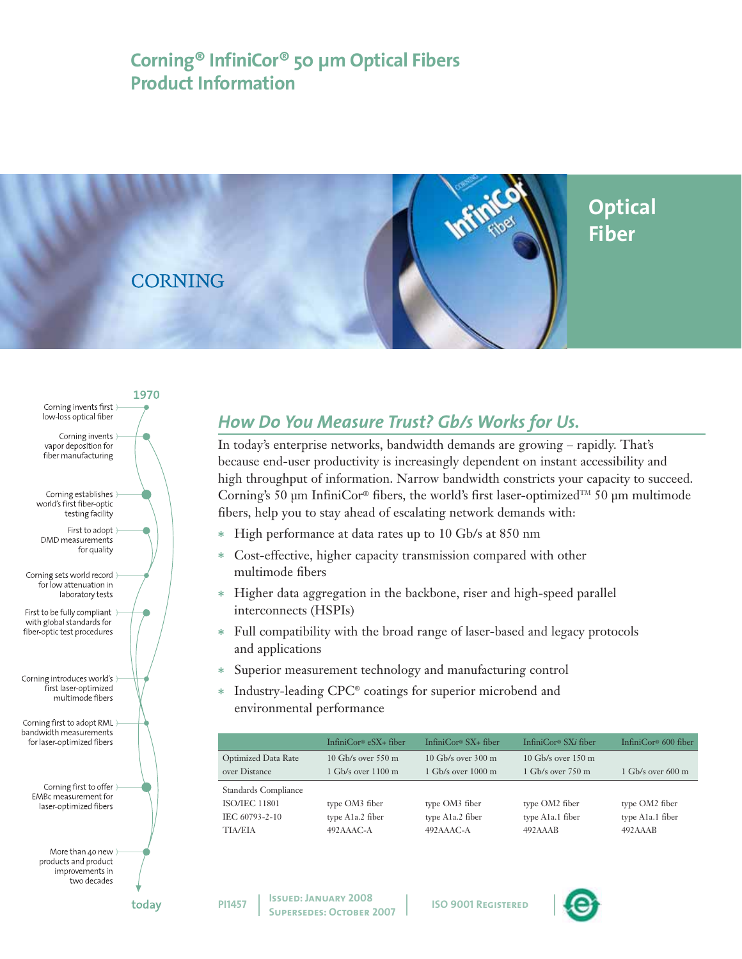# **Corning® InfiniCor® 50 µm Optical Fibers Product Information**





# *How Do You Measure Trust? Gb/s Works for Us.*

In today's enterprise networks, bandwidth demands are growing – rapidly. That's because end-user productivity is increasingly dependent on instant accessibility and high throughput of information. Narrow bandwidth constricts your capacity to succeed. Corning's 50 µm InfiniCor<sup>®</sup> fibers, the world's first laser-optimized<sup>TM</sup> 50 µm multimode fibers, help you to stay ahead of escalating network demands with:

- \* High performance at data rates up to 10 Gb/s at 850 nm
- \* Cost-effective, higher capacity transmission compared with other multimode fibers
- \* Higher data aggregation in the backbone, riser and high-speed parallel interconnects (HSPIs)
- \* Full compatibility with the broad range of laser-based and legacy protocols and applications
- \* Superior measurement technology and manufacturing control
- Industry-leading CPC® coatings for superior microbend and environmental performance

|                            | InfiniCor® $eSX+$ fiber        | InfiniCor <sup>®</sup> $SX_{+}$ fiber | InfiniCor <sup>®</sup> SXi fiber | InfiniCor <sup>®</sup> 600 fiber |
|----------------------------|--------------------------------|---------------------------------------|----------------------------------|----------------------------------|
| <b>Optimized Data Rate</b> | $10$ Gb/s over 550 m           | $10$ Gb/s over $300$ m                | $10$ Gb/s over $150$ m           |                                  |
| over Distance              | $1$ Gb/s over $1100 \text{ m}$ | $1$ Gb/s over $1000 \text{ m}$        | $1$ Gb/s over $750 \text{ m}$    | $1$ Gb/s over 600 m              |
| Standards Compliance       |                                |                                       |                                  |                                  |
| <b>ISO/JEC 11801</b>       | type OM3 fiber                 | type OM3 fiber                        | type OM2 fiber                   | type OM2 fiber                   |
| IEC 60793-2-10             | type A1a.2 fiber               | type A1a.2 fiber                      | type A1a.1 fiber                 | type A1a.1 fiber                 |
| TIA/EIA                    | $492AAAC-A$                    | $492AAAC-A$                           | 492AAAB                          | 492AAAB                          |
|                            |                                |                                       |                                  |                                  |

**ISO 9001 Registered** 



**PI1457**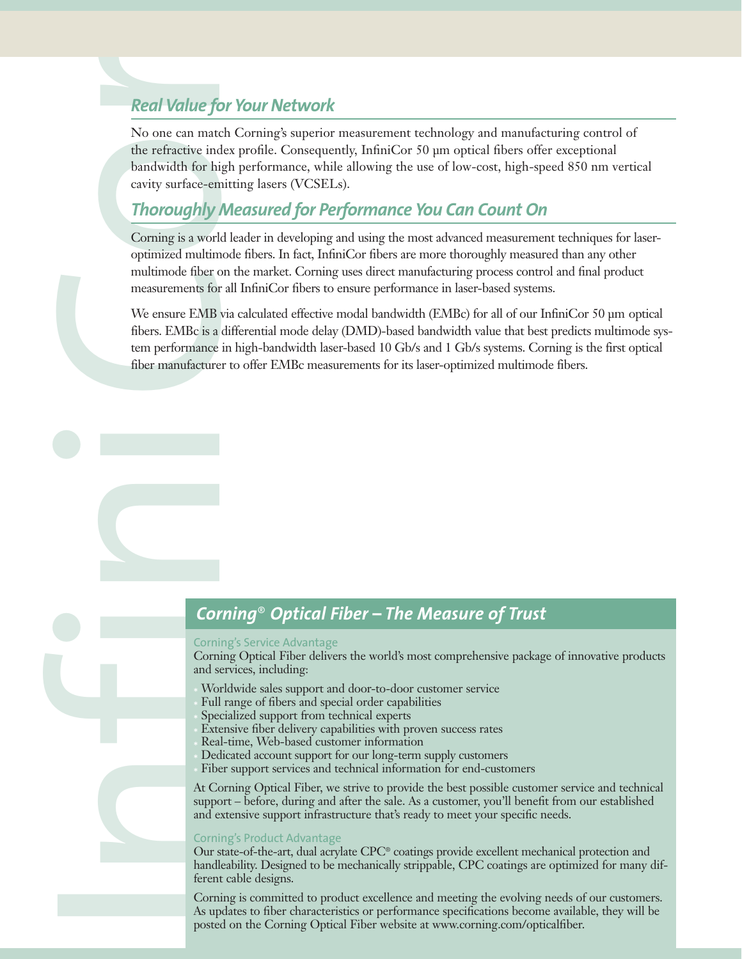No one can match Corning's superior measurement technology and manufacturing control of the refractive index profile. Consequently, InfiniCor 50 µm optical fibers offer exceptional bandwidth for high performance, while allowing the use of low-cost, high-speed 850 nm vertical cavity surface-emitting lasers (VCSELs).

### *Thoroughly Measured for Performance You Can Count On*

Real Value for Your Network<br>
No one can match Coming's superior<br>
the refractive index profile. Conseque<br>
bandwidth for high performance, which<br>
carrity surface-emitting lasers (VCSEL<br>
Thoroughly Meassured for Pe<br>
Coming is Corning is a world leader in developing and using the most advanced measurement techniques for laseroptimized multimode fibers. In fact, InfiniCor fibers are more thoroughly measured than any other multimode fiber on the market. Corning uses direct manufacturing process control and final product measurements for all InfiniCor fibers to ensure performance in laser-based systems.

We ensure EMB via calculated effective modal bandwidth (EMBc) for all of our InfiniCor 50 µm optical fibers. EMBc is a differential mode delay (DMD)-based bandwidth value that best predicts multimode system performance in high-bandwidth laser-based 10 Gb/s and 1 Gb/s systems. Corning is the first optical fiber manufacturer to offer EMBc measurements for its laser-optimized multimode fibers.

### *Corning*® *Optical Fiber – The Measure of Trust*

### Corning's Service Advantage

Corning Optical Fiber delivers the world's most comprehensive package of innovative products and services, including:

- Worldwide sales support and door-to-door customer service
- Full range of fibers and special order capabilities
- Specialized support from technical experts
- Extensive fiber delivery capabilities with proven success rates
- Real-time, Web-based customer information
- Dedicated account support for our long-term supply customers
- Fiber support services and technical information for end-customers

At Corning Optical Fiber, we strive to provide the best possible customer service and technical support – before, during and after the sale. As a customer, you'll benefit from our established and extensive support infrastructure that's ready to meet your specific needs.

### Corning's Product Advantage

Our state-of-the-art, dual acrylate CPC® coatings provide excellent mechanical protection and handleability. Designed to be mechanically strippable, CPC coatings are optimized for many different cable designs.

Corning is committed to product excellence and meeting the evolving needs of our customers. As updates to fiber characteristics or performance specifications become available, they will be posted on the Corning Optical Fiber website at www.corning.com/opticalfiber.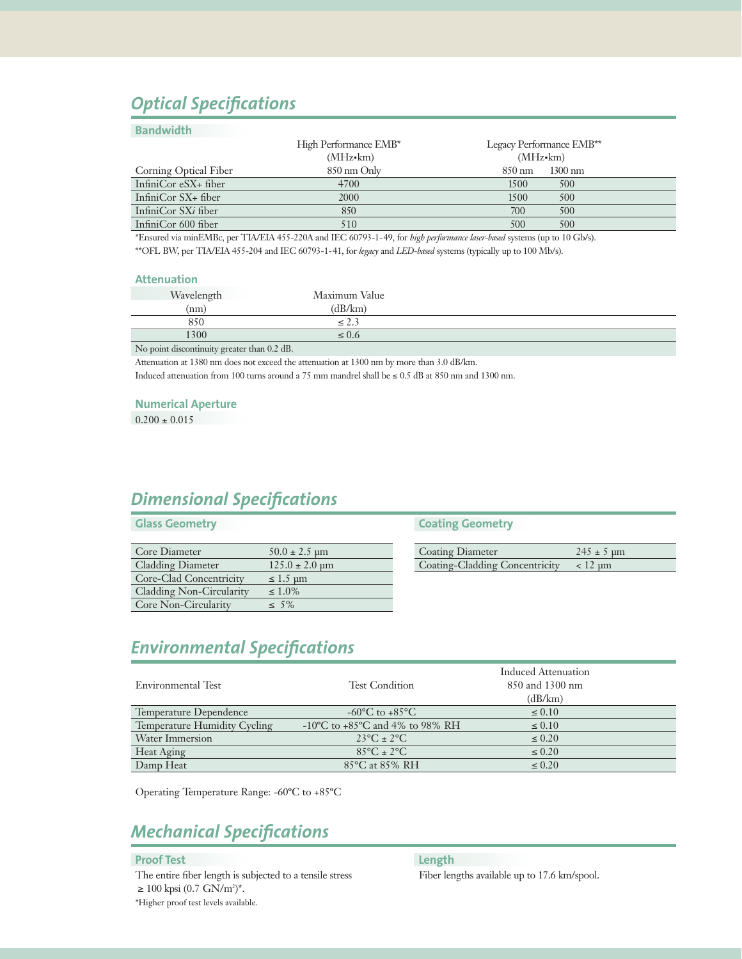# *Optical Specifications*

### **Bandwidth**

|                        | High Performance EMB* | Legacy Performance EMB**              |
|------------------------|-----------------------|---------------------------------------|
|                        | $(MHz \cdot km)$      | $(MHz \cdot km)$                      |
| Corning Optical Fiber  | 850 nm Only           | $1300 \text{ nm}$<br>$850 \text{ nm}$ |
| InfiniCor eSX+ fiber   | 4700                  | 1500<br>500                           |
| InfiniCor $SX$ + fiber | 2000                  | 1500<br>500                           |
| InfiniCor SXi fiber    | 850                   | 700<br>500                            |
| InfiniCor 600 fiber    | 510                   | 500<br>500                            |
|                        |                       |                                       |

\*Ensured via minEMBc, per TIA/EIA 455-220A and IEC 60793-1-49, for *high performance laser-based* systems (up to 10 Gb/s). \*\*OFL BW, per TIA/EIA 455-204 and IEC 60793-1-41, for *legacy* and *LED-based* systems (typically up to 100 Mb/s).

### **Attenuation**

| Wavelength | Maximum Value            |  |
|------------|--------------------------|--|
| (nm)       | dB/km)                   |  |
| 850        | $\overline{\phantom{a}}$ |  |
| 1300       | U.O                      |  |
|            |                          |  |

No point discontinuity greater than 0.2 dB.

Attenuation at 1380 nm does not exceed the attenuation at 1300 nm by more than 3.0 dB/km.

Induced attenuation from 100 turns around a 75 mm mandrel shall be  $\leq 0.5$  dB at 850 nm and 1300 nm.

#### **Numerical Aperture**

 $0.200 \pm 0.015$ 

## *Dimensional Specifications*

### **Glass Geometry**

| Core Diameter            | $50.0 \pm 2.5 \text{ µm}$          |
|--------------------------|------------------------------------|
| <b>Cladding Diameter</b> | $125.0 \pm 2.0 \,\text{\textmu m}$ |
| Core-Clad Concentricity  | $\leq 1.5$ µm                      |
| Cladding Non-Circularity | $\leq 1.0\%$                       |
| Core Non-Circularity     | $~<~5\%$                           |

### **Coating Geometry**

| <b>Coating Diameter</b>                         | $245 \pm 5 \text{ µm}$ |
|-------------------------------------------------|------------------------|
| Coating-Cladding Concentricity $\lt$ 12 $\mu$ m |                        |

## *Environmental Specifications*

| Environmental Test           | <b>Test Condition</b>                               | Induced Attenuation<br>850 and 1300 nm |
|------------------------------|-----------------------------------------------------|----------------------------------------|
|                              |                                                     | (dB/km)                                |
| Temperature Dependence       | $-60^{\circ}$ C to $+85^{\circ}$ C                  | $\leq 0.10$                            |
| Temperature Humidity Cycling | $-10^{\circ}$ C to $+85^{\circ}$ C and 4% to 98% RH | $\leq 0.10$                            |
| Water Immersion              | $23^{\circ}C \pm 2^{\circ}C$                        | $\leq 0.20$                            |
| Heat Aging                   | $85^{\circ}$ C ± 2°C                                | $\leq 0.20$                            |
| Damp Heat                    | 85°C at 85% RH                                      | $\leq 0.20$                            |

Operating Temperature Range: -60ºC to +85ºC

# *Mechanical Specifications*

### **Proof Test**

The entire fiber length is subjected to a tensile stress  $\geq 100$  kpsi (0.7 GN/m<sup>2</sup>)<sup>\*</sup>. \*Higher proof test levels available.

**Length**

Fiber lengths available up to 17.6 km/spool.